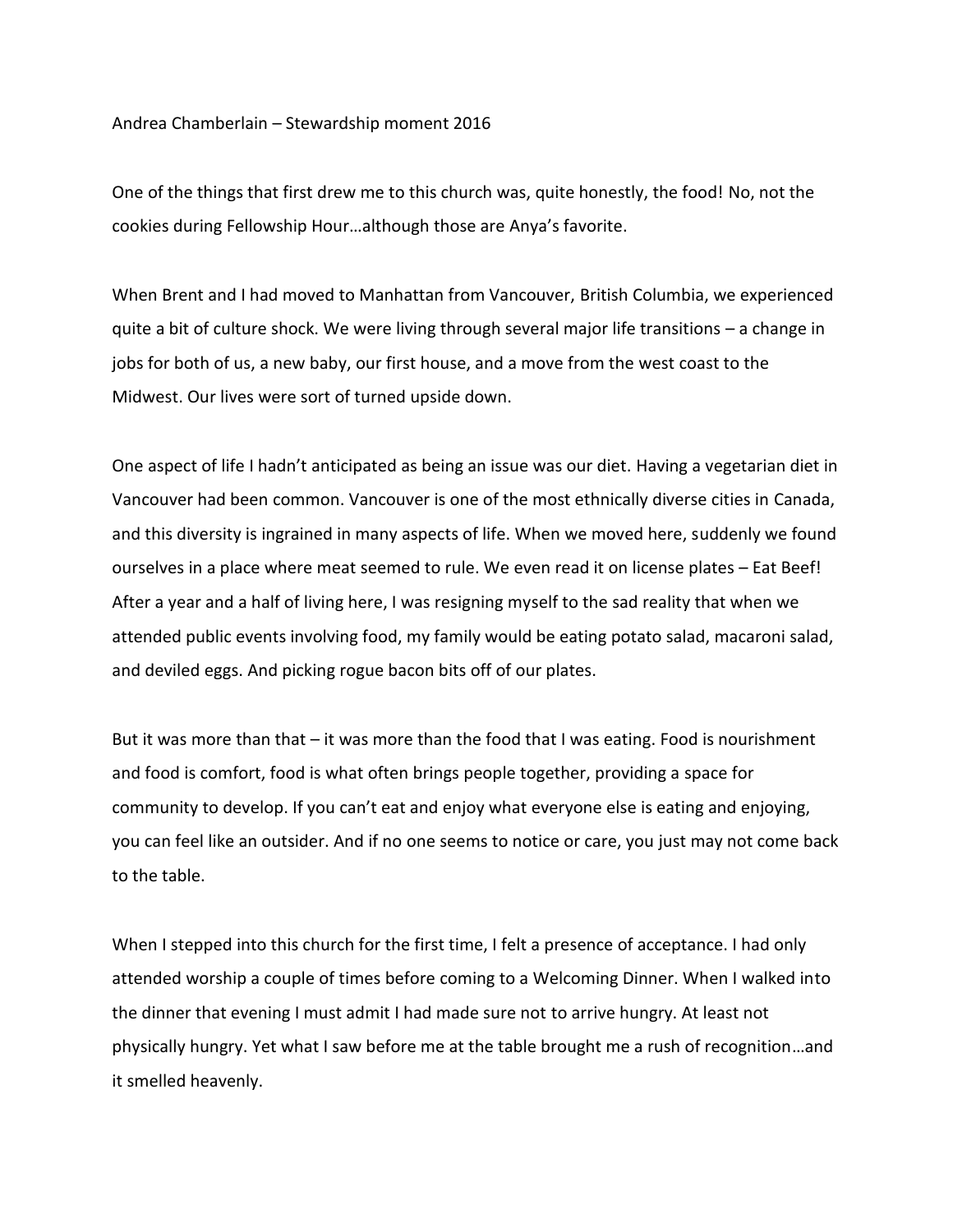Andrea Chamberlain – Stewardship moment 2016

One of the things that first drew me to this church was, quite honestly, the food! No, not the cookies during Fellowship Hour…although those are Anya's favorite.

When Brent and I had moved to Manhattan from Vancouver, British Columbia, we experienced quite a bit of culture shock. We were living through several major life transitions – a change in jobs for both of us, a new baby, our first house, and a move from the west coast to the Midwest. Our lives were sort of turned upside down.

One aspect of life I hadn't anticipated as being an issue was our diet. Having a vegetarian diet in Vancouver had been common. Vancouver is one of the most ethnically diverse cities in Canada, and this diversity is ingrained in many aspects of life. When we moved here, suddenly we found ourselves in a place where meat seemed to rule. We even read it on license plates – Eat Beef! After a year and a half of living here, I was resigning myself to the sad reality that when we attended public events involving food, my family would be eating potato salad, macaroni salad, and deviled eggs. And picking rogue bacon bits off of our plates.

But it was more than that – it was more than the food that I was eating. Food is nourishment and food is comfort, food is what often brings people together, providing a space for community to develop. If you can't eat and enjoy what everyone else is eating and enjoying, you can feel like an outsider. And if no one seems to notice or care, you just may not come back to the table.

When I stepped into this church for the first time, I felt a presence of acceptance. I had only attended worship a couple of times before coming to a Welcoming Dinner. When I walked into the dinner that evening I must admit I had made sure not to arrive hungry. At least not physically hungry. Yet what I saw before me at the table brought me a rush of recognition…and it smelled heavenly.